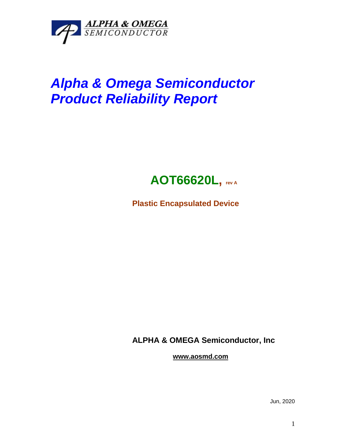

## *Alpha & Omega Semiconductor Product Reliability Report*



**Plastic Encapsulated Device**

**ALPHA & OMEGA Semiconductor, Inc**

**www.aosmd.com**

Jun, 2020